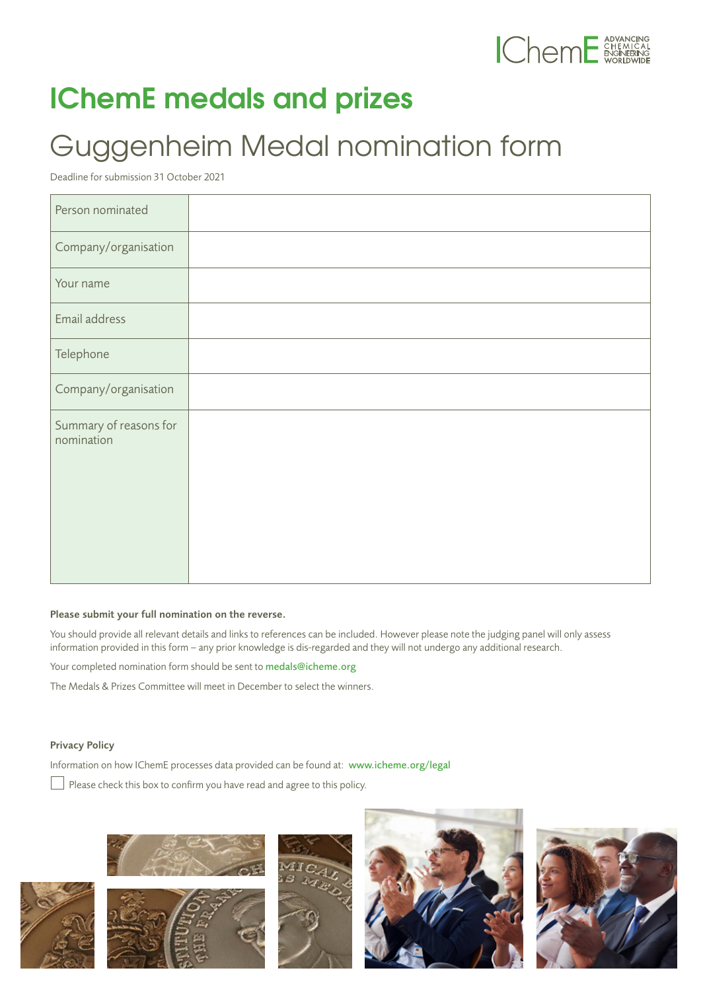

## **IChemE medals and prizes**

## Guggenheim Medal nomination form

Deadline for submission 31 October 2021

| Person nominated                     |  |
|--------------------------------------|--|
| Company/organisation                 |  |
| Your name                            |  |
| Email address                        |  |
| Telephone                            |  |
| Company/organisation                 |  |
| Summary of reasons for<br>nomination |  |

## Please submit your full nomination on the reverse.

You should provide all relevant details and links to references can be included. However please note the judging panel will only assess information provided in this form – any prior knowledge is dis-regarded and they will not undergo any additional research.

Your completed nomination form should be sent to medals@icheme.org

The Medals & Prizes Committee will meet in December to select the winners.

## Privacy Policy

Information on how IChemE processes data provided can be found at: [www.icheme.org/legal](http://www.icheme.org/legal)

 $\Box$  Please check this box to confirm you have read and agree to this policy.